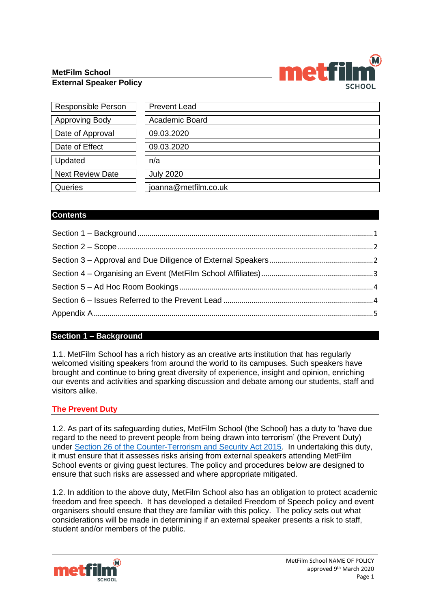#### **MetFilm School External Speaker Policy**



| <b>Responsible Person</b> | <b>Prevent Lead</b>  |
|---------------------------|----------------------|
| <b>Approving Body</b>     | Academic Board       |
| Date of Approval          | 09.03.2020           |
| Date of Effect            | 09.03.2020           |
| Updated                   | n/a                  |
| <b>Next Review Date</b>   | <b>July 2020</b>     |
| Queries                   | joanna@metfilm.co.uk |

# **Contents**

# <span id="page-0-0"></span>**Section 1 – Background**

1.1. MetFilm School has a rich history as an creative arts institution that has regularly welcomed visiting speakers from around the world to its campuses. Such speakers have brought and continue to bring great diversity of experience, insight and opinion, enriching our events and activities and sparking discussion and debate among our students, staff and visitors alike.

# **The Prevent Duty**

1.2. As part of its safeguarding duties, MetFilm School (the School) has a duty to 'have due regard to the need to prevent people from being drawn into terrorism' (the Prevent Duty) under Section 26 of the [Counter-Terrorism](https://www.gov.uk/government/publications/prevent-duty-guidance/revised-prevent-duty-guidance-for-england-and-wales) and Security Act 2015. In undertaking this duty, it must ensure that it assesses risks arising from external speakers attending MetFilm School events or giving guest lectures. The policy and procedures below are designed to ensure that such risks are assessed and where appropriate mitigated.

1.2. In addition to the above duty, MetFilm School also has an obligation to protect academic freedom and free speech. It has developed a detailed Freedom of Speech policy and event organisers should ensure that they are familiar with this policy. The policy sets out what considerations will be made in determining if an external speaker presents a risk to staff, student and/or members of the public.

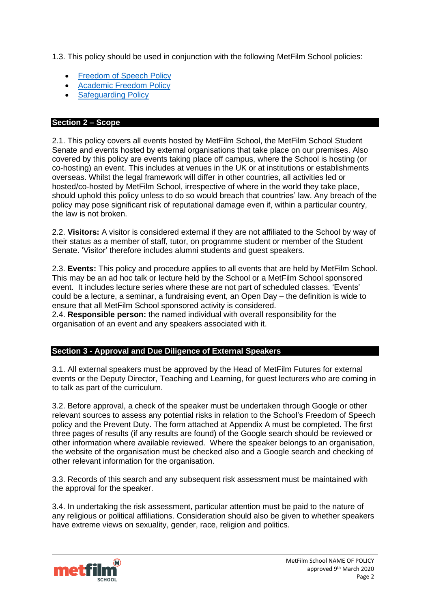1.3. This policy should be used in conjunction with the following MetFilm School policies:

- **[Freedom](https://www.metfilmschool.ac.uk/whymetfilm/homewhymetfilmschool/policies-key-documents/#FOSP) of Speech Policy**
- [Academic](https://www.metfilmschool.ac.uk/whymetfilm/homewhymetfilmschool/policies-key-documents/#AFP) Freedom Policy
- **[Safeguarding](https://www.metfilmschool.ac.uk/whymetfilm/homewhymetfilmschool/policies-key-documents/#SGP) Policy**

# <span id="page-1-0"></span>**Section 2 – Scope**

2.1. This policy covers all events hosted by MetFilm School, the MetFilm School Student Senate and events hosted by external organisations that take place on our premises. Also covered by this policy are events taking place off campus, where the School is hosting (or co-hosting) an event. This includes at venues in the UK or at institutions or establishments overseas. Whilst the legal framework will differ in other countries, all activities led or hosted/co-hosted by MetFilm School, irrespective of where in the world they take place, should uphold this policy unless to do so would breach that countries' law. Any breach of the policy may pose significant risk of reputational damage even if, within a particular country, the law is not broken.

2.2. **Visitors:** A visitor is considered external if they are not affiliated to the School by way of their status as a member of staff, tutor, on programme student or member of the Student Senate. 'Visitor' therefore includes alumni students and guest speakers.

2.3. **Events:** This policy and procedure applies to all events that are held by MetFilm School. This may be an ad hoc talk or lecture held by the School or a MetFilm School sponsored event. It includes lecture series where these are not part of scheduled classes. 'Events' could be a lecture, a seminar, a fundraising event, an Open Day – the definition is wide to ensure that all MetFilm School sponsored activity is considered.

2.4. **Responsible person:** the named individual with overall responsibility for the organisation of an event and any speakers associated with it.

# <span id="page-1-1"></span>**Section 3 - Approval and Due Diligence of External Speakers**

3.1. All external speakers must be approved by the Head of MetFilm Futures for external events or the Deputy Director, Teaching and Learning, for guest lecturers who are coming in to talk as part of the curriculum.

3.2. Before approval, a check of the speaker must be undertaken through Google or other relevant sources to assess any potential risks in relation to the School's Freedom of Speech policy and the Prevent Duty. The form attached at Appendix A must be completed. The first three pages of results (if any results are found) of the Google search should be reviewed or other information where available reviewed. Where the speaker belongs to an organisation, the website of the organisation must be checked also and a Google search and checking of other relevant information for the organisation.

3.3. Records of this search and any subsequent risk assessment must be maintained with the approval for the speaker.

3.4. In undertaking the risk assessment, particular attention must be paid to the nature of any religious or political affiliations. Consideration should also be given to whether speakers have extreme views on sexuality, gender, race, religion and politics.

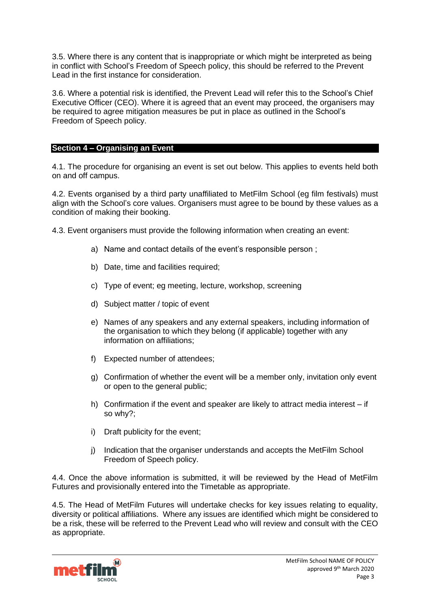3.5. Where there is any content that is inappropriate or which might be interpreted as being in conflict with School's Freedom of Speech policy, this should be referred to the Prevent Lead in the first instance for consideration.

3.6. Where a potential risk is identified, the Prevent Lead will refer this to the School's Chief Executive Officer (CEO). Where it is agreed that an event may proceed, the organisers may be required to agree mitigation measures be put in place as outlined in the School's Freedom of Speech policy.

### <span id="page-2-0"></span>**Section 4 – Organising an Event**

4.1. The procedure for organising an event is set out below. This applies to events held both on and off campus.

4.2. Events organised by a third party unaffiliated to MetFilm School (eg film festivals) must align with the School's core values. Organisers must agree to be bound by these values as a condition of making their booking.

4.3. Event organisers must provide the following information when creating an event:

- a) Name and contact details of the event's responsible person ;
- b) Date, time and facilities required;
- c) Type of event; eg meeting, lecture, workshop, screening
- d) Subject matter / topic of event
- e) Names of any speakers and any external speakers, including information of the organisation to which they belong (if applicable) together with any information on affiliations;
- f) Expected number of attendees;
- g) Confirmation of whether the event will be a member only, invitation only event or open to the general public;
- h) Confirmation if the event and speaker are likely to attract media interest if so why?;
- i) Draft publicity for the event;
- j) Indication that the organiser understands and accepts the MetFilm School Freedom of Speech policy.

4.4. Once the above information is submitted, it will be reviewed by the Head of MetFilm Futures and provisionally entered into the Timetable as appropriate.

4.5. The Head of MetFilm Futures will undertake checks for key issues relating to equality, diversity or political affiliations. Where any issues are identified which might be considered to be a risk, these will be referred to the Prevent Lead who will review and consult with the CEO as appropriate.

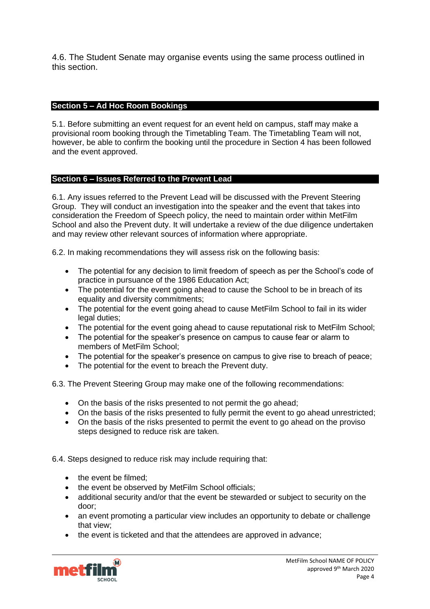4.6. The Student Senate may organise events using the same process outlined in this section.

# <span id="page-3-0"></span>**Section 5 – Ad Hoc Room Bookings**

5.1. Before submitting an event request for an event held on campus, staff may make a provisional room booking through the Timetabling Team. The Timetabling Team will not, however, be able to confirm the booking until the procedure in Section 4 has been followed and the event approved.

#### <span id="page-3-1"></span>**Section 6 – Issues Referred to the Prevent Lead**

6.1. Any issues referred to the Prevent Lead will be discussed with the Prevent Steering Group. They will conduct an investigation into the speaker and the event that takes into consideration the Freedom of Speech policy, the need to maintain order within MetFilm School and also the Prevent duty. It will undertake a review of the due diligence undertaken and may review other relevant sources of information where appropriate.

6.2. In making recommendations they will assess risk on the following basis:

- The potential for any decision to limit freedom of speech as per the School's code of practice in pursuance of the 1986 Education Act;
- The potential for the event going ahead to cause the School to be in breach of its equality and diversity commitments;
- The potential for the event going ahead to cause MetFilm School to fail in its wider legal duties;
- The potential for the event going ahead to cause reputational risk to MetFilm School;
- The potential for the speaker's presence on campus to cause fear or alarm to members of MetFilm School;
- The potential for the speaker's presence on campus to give rise to breach of peace;
- The potential for the event to breach the Prevent duty.

6.3. The Prevent Steering Group may make one of the following recommendations:

- On the basis of the risks presented to not permit the go ahead;
- On the basis of the risks presented to fully permit the event to go ahead unrestricted;
- On the basis of the risks presented to permit the event to go ahead on the proviso steps designed to reduce risk are taken.

6.4. Steps designed to reduce risk may include requiring that:

- the event be filmed:
- the event be observed by MetFilm School officials;
- additional security and/or that the event be stewarded or subject to security on the door;
- an event promoting a particular view includes an opportunity to debate or challenge that view;
- the event is ticketed and that the attendees are approved in advance;

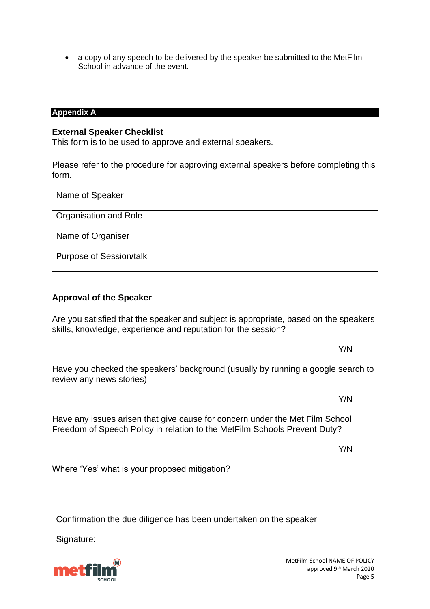• a copy of any speech to be delivered by the speaker be submitted to the MetFilm School in advance of the event.

#### <span id="page-4-0"></span>**Appendix A**

### **External Speaker Checklist**

This form is to be used to approve and external speakers.

Please refer to the procedure for approving external speakers before completing this form.

| Name of Speaker                |  |
|--------------------------------|--|
| <b>Organisation and Role</b>   |  |
| Name of Organiser              |  |
| <b>Purpose of Session/talk</b> |  |

# **Approval of the Speaker**

Are you satisfied that the speaker and subject is appropriate, based on the speakers skills, knowledge, experience and reputation for the session?

Have you checked the speakers' background (usually by running a google search to review any news stories)

Have any issues arisen that give cause for concern under the Met Film School Freedom of Speech Policy in relation to the MetFilm Schools Prevent Duty?

Y/N

Where 'Yes' what is your proposed mitigation?

Confirmation the due diligence has been undertaken on the speaker

Signature:



Y/N

Y/N